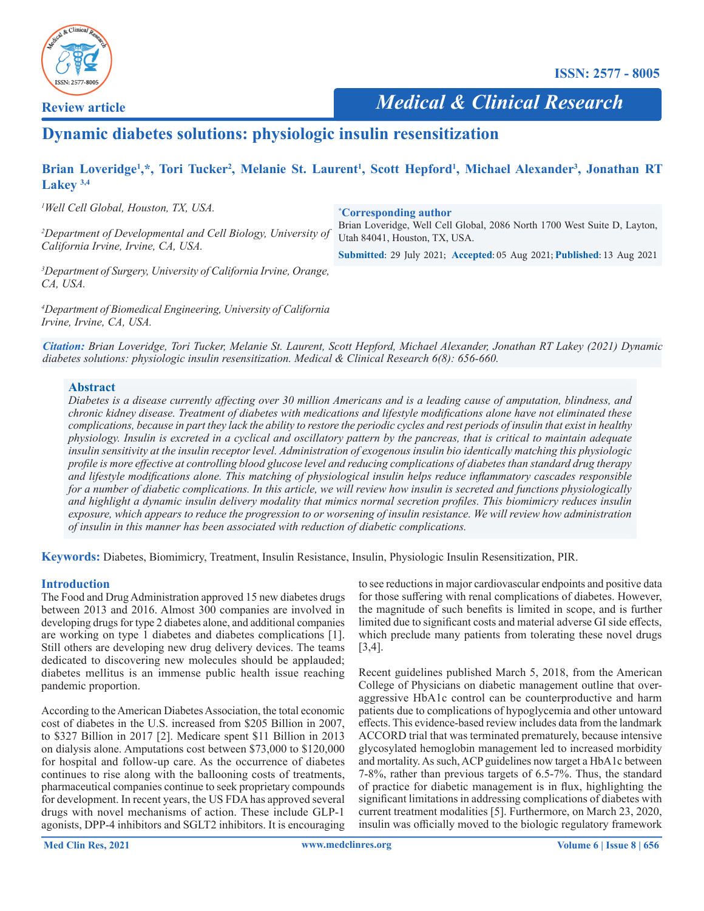

**Review article**

 *Medical & Clinical Research*

# **Dynamic diabetes solutions: physiologic insulin resensitization**

# Brian Loveridge<sup>1</sup>,\*, Tori Tucker<sup>2</sup>, Melanie St. Laurent<sup>1</sup>, Scott Hepford<sup>1</sup>, Michael Alexander<sup>3</sup>, Jonathan RT **Lakey 3,4**

*1 Well Cell Global, Houston, TX, USA.*

*2 Department of Developmental and Cell Biology, University of California Irvine, Irvine, CA, USA.* 

**\* Corresponding author**

Brian Loveridge, Well Cell Global, 2086 North 1700 West Suite D, Layton, Utah 84041, Houston, TX, USA.

**Submitted**: 29 July 2021; **Accepted**: 05 Aug 2021; **Published**: 13 Aug 2021

*3 Department of Surgery, University of California Irvine, Orange, CA, USA.* 

*4 Department of Biomedical Engineering, University of California Irvine, Irvine, CA, USA.*

*Citation: Brian Loveridge, Tori Tucker, Melanie St. Laurent, Scott Hepford, Michael Alexander, Jonathan RT Lakey (2021) Dynamic diabetes solutions: physiologic insulin resensitization. Medical & Clinical Research 6(8): 656-660.*

#### **Abstract**

*Diabetes is a disease currently afecting over 30 million Americans and is a leading cause of amputation, blindness, and chronic kidney disease. Treatment of diabetes with medications and lifestyle modifcations alone have not eliminated these complications, because in part they lack the ability to restore the periodic cycles and rest periods of insulin that exist in healthy physiology. Insulin is excreted in a cyclical and oscillatory pattern by the pancreas, that is critical to maintain adequate insulin sensitivity at the insulin receptor level. Administration of exogenous insulin bio identically matching this physiologic profle is more efective at controlling blood glucose level and reducing complications of diabetes than standard drug therapy and lifestyle modifcations alone. This matching of physiological insulin helps reduce infammatory cascades responsible for a number of diabetic complications. In this article, we will review how insulin is secreted and functions physiologically and highlight a dynamic insulin delivery modality that mimics normal secretion profles. This biomimicry reduces insulin exposure, which appears to reduce the progression to or worsening of insulin resistance. We will review how administration of insulin in this manner has been associated with reduction of diabetic complications.*

**Keywords:** Diabetes, Biomimicry, Treatment, Insulin Resistance, Insulin, Physiologic Insulin Resensitization, PIR.

#### **Introduction**

The Food and Drug Administration approved 15 new diabetes drugs between 2013 and 2016. Almost 300 companies are involved in developing drugs for type 2 diabetes alone, and additional companies are working on type 1 diabetes and diabetes complications [1]. Still others are developing new drug delivery devices. The teams dedicated to discovering new molecules should be applauded; diabetes mellitus is an immense public health issue reaching pandemic proportion.

According to the American Diabetes Association, the total economic cost of diabetes in the U.S. increased from \$205 Billion in 2007, to \$327 Billion in 2017 [2]. Medicare spent \$11 Billion in 2013 on dialysis alone. Amputations cost between \$73,000 to \$120,000 for hospital and follow-up care. As the occurrence of diabetes continues to rise along with the ballooning costs of treatments, pharmaceutical companies continue to seek proprietary compounds for development. In recent years, the US FDA has approved several drugs with novel mechanisms of action. These include GLP-1 agonists, DPP-4 inhibitors and SGLT2 inhibitors. It is encouraging

to see reductions in major cardiovascular endpoints and positive data for those sufering with renal complications of diabetes. However, the magnitude of such benefts is limited in scope, and is further limited due to significant costs and material adverse GI side effects, which preclude many patients from tolerating these novel drugs [3,4].

Recent guidelines published March 5, 2018, from the American College of Physicians on diabetic management outline that overaggressive HbA1c control can be counterproductive and harm patients due to complications of hypoglycemia and other untoward efects. This evidence-based review includes data from the landmark ACCORD trial that was terminated prematurely, because intensive glycosylated hemoglobin management led to increased morbidity and mortality. As such, ACP guidelines now target a HbA1c between 7-8%, rather than previous targets of 6.5-7%. Thus, the standard of practice for diabetic management is in fux, highlighting the signifcant limitations in addressing complications of diabetes with current treatment modalities [5]. Furthermore, on March 23, 2020, insulin was officially moved to the biologic regulatory framework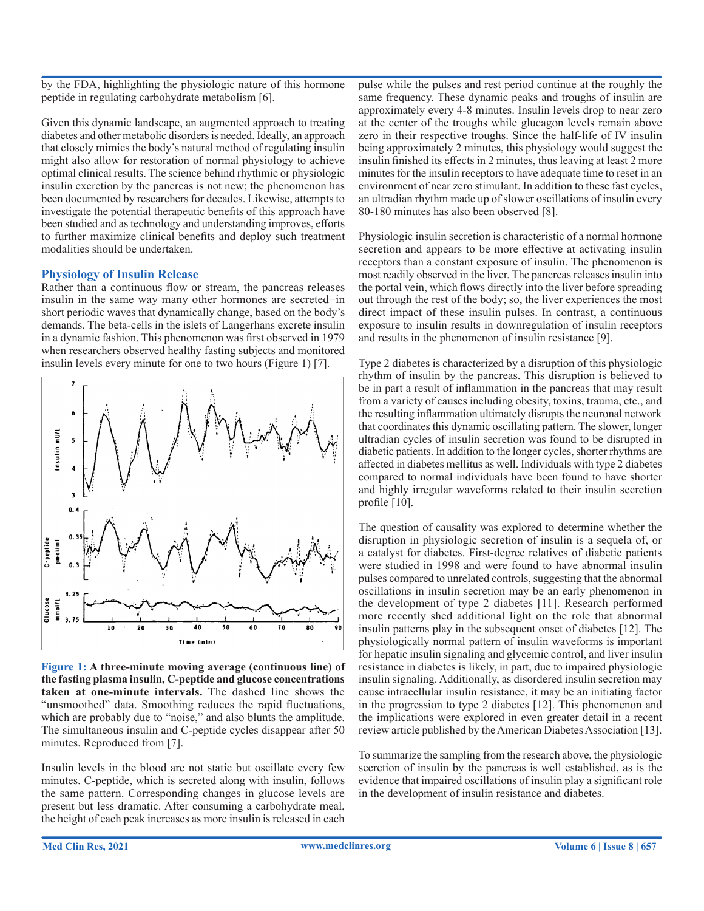by the FDA, highlighting the physiologic nature of this hormone peptide in regulating carbohydrate metabolism [6].

Given this dynamic landscape, an augmented approach to treating diabetes and other metabolic disorders is needed. Ideally, an approach that closely mimics the body's natural method of regulating insulin might also allow for restoration of normal physiology to achieve optimal clinical results. The science behind rhythmic or physiologic insulin excretion by the pancreas is not new; the phenomenon has been documented by researchers for decades. Likewise, attempts to investigate the potential therapeutic benefts of this approach have been studied and as technology and understanding improves, efforts to further maximize clinical benefts and deploy such treatment modalities should be undertaken.

#### **Physiology of Insulin Release**

Rather than a continuous flow or stream, the pancreas releases insulin in the same way many other hormones are secreted−in short periodic waves that dynamically change, based on the body's demands. The beta-cells in the islets of Langerhans excrete insulin in a dynamic fashion. This phenomenon was frst observed in 1979 when researchers observed healthy fasting subjects and monitored insulin levels every minute for one to two hours (Figure 1) [7].



**Figure 1: A three-minute moving average (continuous line) of the fasting plasma insulin, C-peptide and glucose concentrations taken at one-minute intervals.** The dashed line shows the "unsmoothed" data. Smoothing reduces the rapid fuctuations, which are probably due to "noise," and also blunts the amplitude. The simultaneous insulin and C-peptide cycles disappear after 50 minutes. Reproduced from [7].

Insulin levels in the blood are not static but oscillate every few minutes. C-peptide, which is secreted along with insulin, follows the same pattern. Corresponding changes in glucose levels are present but less dramatic. After consuming a carbohydrate meal, the height of each peak increases as more insulin is released in each

pulse while the pulses and rest period continue at the roughly the same frequency. These dynamic peaks and troughs of insulin are approximately every 4-8 minutes. Insulin levels drop to near zero at the center of the troughs while glucagon levels remain above zero in their respective troughs. Since the half-life of IV insulin being approximately 2 minutes, this physiology would suggest the insulin fnished its efects in 2 minutes, thus leaving at least 2 more minutes for the insulin receptors to have adequate time to reset in an environment of near zero stimulant. In addition to these fast cycles, an ultradian rhythm made up of slower oscillations of insulin every 80-180 minutes has also been observed [8].

Physiologic insulin secretion is characteristic of a normal hormone secretion and appears to be more effective at activating insulin receptors than a constant exposure of insulin. The phenomenon is most readily observed in the liver. The pancreas releases insulin into the portal vein, which fows directly into the liver before spreading out through the rest of the body; so, the liver experiences the most direct impact of these insulin pulses. In contrast, a continuous exposure to insulin results in downregulation of insulin receptors and results in the phenomenon of insulin resistance [9].

Type 2 diabetes is characterized by a disruption of this physiologic rhythm of insulin by the pancreas. This disruption is believed to be in part a result of infammation in the pancreas that may result from a variety of causes including obesity, toxins, trauma, etc., and the resulting infammation ultimately disrupts the neuronal network that coordinates this dynamic oscillating pattern. The slower, longer ultradian cycles of insulin secretion was found to be disrupted in diabetic patients. In addition to the longer cycles, shorter rhythms are afected in diabetes mellitus as well. Individuals with type 2 diabetes compared to normal individuals have been found to have shorter and highly irregular waveforms related to their insulin secretion profile  $[10]$ .

The question of causality was explored to determine whether the disruption in physiologic secretion of insulin is a sequela of, or a catalyst for diabetes. First-degree relatives of diabetic patients were studied in 1998 and were found to have abnormal insulin pulses compared to unrelated controls, suggesting that the abnormal oscillations in insulin secretion may be an early phenomenon in the development of type 2 diabetes [11]. Research performed more recently shed additional light on the role that abnormal insulin patterns play in the subsequent onset of diabetes [12]. The physiologically normal pattern of insulin waveforms is important for hepatic insulin signaling and glycemic control, and liver insulin resistance in diabetes is likely, in part, due to impaired physiologic insulin signaling. Additionally, as disordered insulin secretion may cause intracellular insulin resistance, it may be an initiating factor in the progression to type 2 diabetes [12]. This phenomenon and the implications were explored in even greater detail in a recent review article published by the American Diabetes Association [13].

To summarize the sampling from the research above, the physiologic secretion of insulin by the pancreas is well established, as is the evidence that impaired oscillations of insulin play a signifcant role in the development of insulin resistance and diabetes.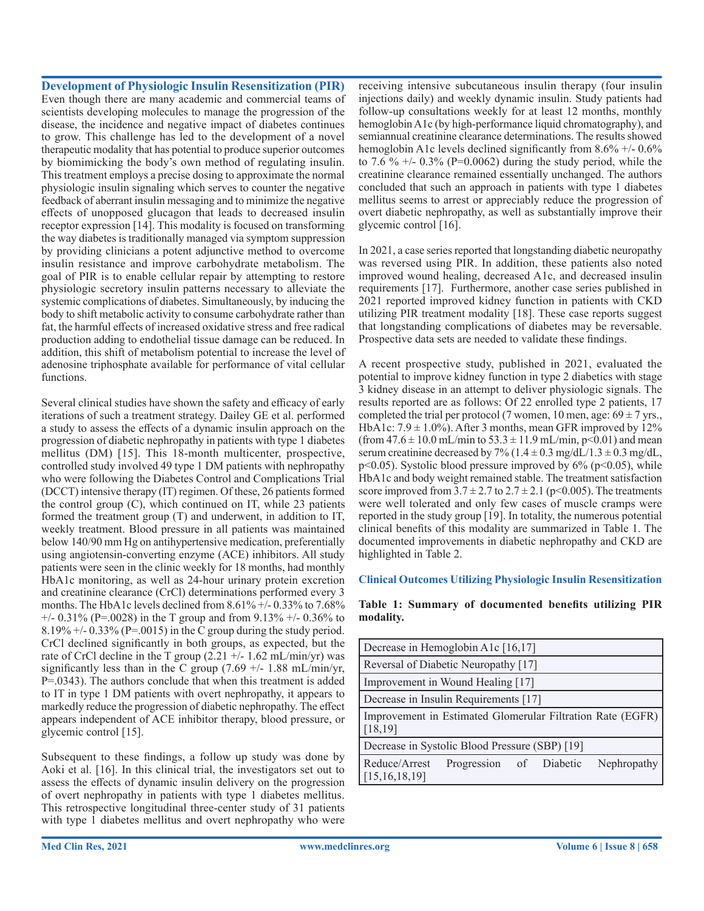#### **Development of Physiologic Insulin Resensitization (PIR)**

Even though there are many academic and commercial teams of scientists developing molecules to manage the progression of the disease, the incidence and negative impact of diabetes continues to grow. This challenge has led to the development of a novel therapeutic modality that has potential to produce superior outcomes by biomimicking the body's own method of regulating insulin. This treatment employs a precise dosing to approximate the normal physiologic insulin signaling which serves to counter the negative feedback of aberrant insulin messaging and to minimize the negative efects of unopposed glucagon that leads to decreased insulin receptor expression [14]. This modality is focused on transforming the way diabetes is traditionally managed via symptom suppression by providing clinicians a potent adjunctive method to overcome insulin resistance and improve carbohydrate metabolism. The goal of PIR is to enable cellular repair by attempting to restore physiologic secretory insulin patterns necessary to alleviate the systemic complications of diabetes. Simultaneously, by inducing the body to shift metabolic activity to consume carbohydrate rather than fat, the harmful effects of increased oxidative stress and free radical production adding to endothelial tissue damage can be reduced. In addition, this shift of metabolism potential to increase the level of adenosine triphosphate available for performance of vital cellular functions.

Several clinical studies have shown the safety and efficacy of early iterations of such a treatment strategy. Dailey GE et al. performed a study to assess the efects of a dynamic insulin approach on the progression of diabetic nephropathy in patients with type 1 diabetes mellitus (DM) [15]. This 18-month multicenter, prospective, controlled study involved 49 type 1 DM patients with nephropathy who were following the Diabetes Control and Complications Trial (DCCT) intensive therapy (IT) regimen. Of these, 26 patients formed the control group (C), which continued on IT, while 23 patients formed the treatment group (T) and underwent, in addition to IT, weekly treatment. Blood pressure in all patients was maintained below 140/90 mm Hg on antihypertensive medication, preferentially using angiotensin-converting enzyme (ACE) inhibitors. All study patients were seen in the clinic weekly for 18 months, had monthly HbA1c monitoring, as well as 24-hour urinary protein excretion and creatinine clearance (CrCl) determinations performed every 3 months. The HbA1c levels declined from 8.61% +/- 0.33% to 7.68%  $+/- 0.31\%$  (P=.0028) in the T group and from 9.13%  $+/- 0.36\%$  to  $8.19\% +/- 0.33\%$  (P=.0015) in the C group during the study period. CrCl declined signifcantly in both groups, as expected, but the rate of CrCl decline in the T group  $(2.21 + -1.62 \text{ mL/min/yr})$  was significantly less than in the C group  $(7.69 +/- 1.88 \text{ mL/min/yr})$ , P=.0343). The authors conclude that when this treatment is added to IT in type 1 DM patients with overt nephropathy, it appears to markedly reduce the progression of diabetic nephropathy. The effect appears independent of ACE inhibitor therapy, blood pressure, or glycemic control [15].

Subsequent to these fndings, a follow up study was done by Aoki et al. [16]. In this clinical trial, the investigators set out to assess the efects of dynamic insulin delivery on the progression of overt nephropathy in patients with type 1 diabetes mellitus. This retrospective longitudinal three-center study of 31 patients with type 1 diabetes mellitus and overt nephropathy who were

receiving intensive subcutaneous insulin therapy (four insulin injections daily) and weekly dynamic insulin. Study patients had follow-up consultations weekly for at least 12 months, monthly hemoglobin A1c (by high-performance liquid chromatography), and semiannual creatinine clearance determinations. The results showed hemoglobin A1c levels declined significantly from  $8.6\%$  +/-  $0.6\%$ to 7.6 %  $+/- 0.3\%$  (P=0.0062) during the study period, while the creatinine clearance remained essentially unchanged. The authors concluded that such an approach in patients with type 1 diabetes mellitus seems to arrest or appreciably reduce the progression of overt diabetic nephropathy, as well as substantially improve their glycemic control [16].

In 2021, a case series reported that longstanding diabetic neuropathy was reversed using PIR. In addition, these patients also noted improved wound healing, decreased A1c, and decreased insulin requirements [17]. Furthermore, another case series published in 2021 reported improved kidney function in patients with CKD utilizing PIR treatment modality [18]. These case reports suggest that longstanding complications of diabetes may be reversable. Prospective data sets are needed to validate these fndings.

A recent prospective study, published in 2021, evaluated the potential to improve kidney function in type 2 diabetics with stage 3 kidney disease in an attempt to deliver physiologic signals. The results reported are as follows: Of 22 enrolled type 2 patients, 17 completed the trial per protocol (7 women, 10 men, age:  $69 \pm 7$  yrs., HbA1c:  $7.9 \pm 1.0\%$ ). After 3 months, mean GFR improved by 12% (from  $47.6 \pm 10.0$  mL/min to  $53.3 \pm 11.9$  mL/min, p<0.01) and mean serum creatinine decreased by 7% ( $1.4 \pm 0.3$  mg/dL/ $1.3 \pm 0.3$  mg/dL,  $p<0.05$ ). Systolic blood pressure improved by  $6\%$  ( $p<0.05$ ), while HbA1c and body weight remained stable. The treatment satisfaction score improved from  $3.7 \pm 2.7$  to  $2.7 \pm 2.1$  (p<0.005). The treatments were well tolerated and only few cases of muscle cramps were reported in the study group [19]. In totality, the numerous potential clinical benefts of this modality are summarized in Table 1. The documented improvements in diabetic nephropathy and CKD are highlighted in Table 2.

#### **Clinical Outcomes Utilizing Physiologic Insulin Resensitization**

#### **Table 1: Summary of documented benefts utilizing PIR modality.**

| Decrease in Hemoglobin A1c [16,17]                                     |                         |  |  |             |  |
|------------------------------------------------------------------------|-------------------------|--|--|-------------|--|
| Reversal of Diabetic Neuropathy [17]                                   |                         |  |  |             |  |
| Improvement in Wound Healing [17]                                      |                         |  |  |             |  |
| Decrease in Insulin Requirements [17]                                  |                         |  |  |             |  |
| Improvement in Estimated Glomerular Filtration Rate (EGFR)<br>[18, 19] |                         |  |  |             |  |
| Decrease in Systolic Blood Pressure (SBP) [19]                         |                         |  |  |             |  |
| Reduce/Arrest<br>[15, 16, 18, 19]                                      | Progression of Diabetic |  |  | Nephropathy |  |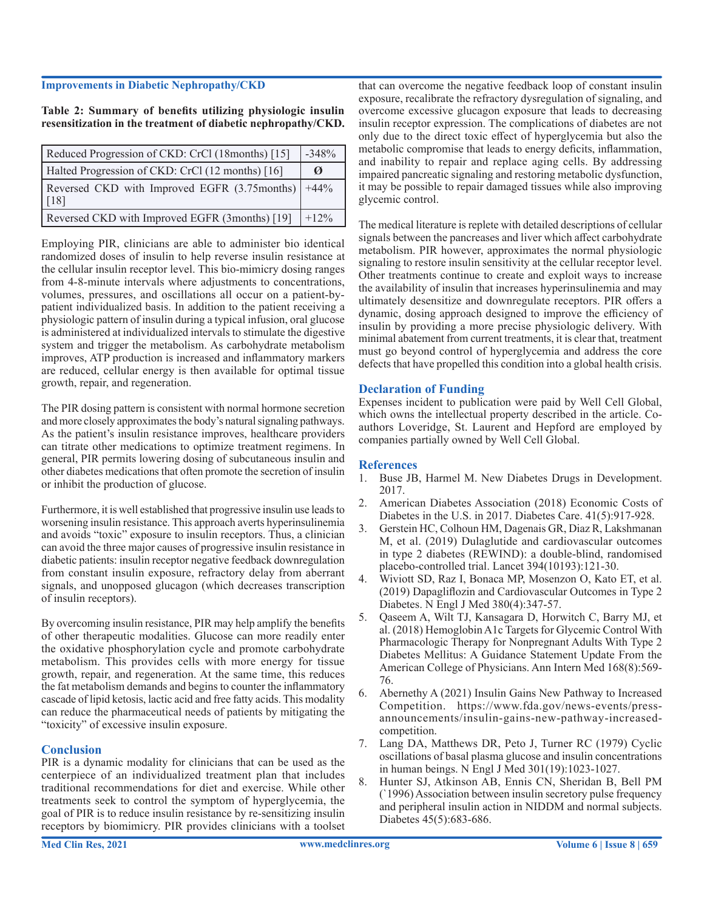#### **Improvements in Diabetic Nephropathy/CKD**

**Table 2: Summary of benefts utilizing physiologic insulin resensitization in the treatment of diabetic nephropathy/CKD.**

| Reduced Progression of CKD: CrCl (18months) [15]                          |   |  |  |
|---------------------------------------------------------------------------|---|--|--|
| Halted Progression of CKD: CrCl (12 months) [16]                          | Ø |  |  |
| Reversed CKD with Improved EGFR (3.75months)   +44%<br>$\lceil 18 \rceil$ |   |  |  |
| Reversed CKD with Improved EGFR (3months) [19]<br>$1 + 12\%$              |   |  |  |

Employing PIR, clinicians are able to administer bio identical randomized doses of insulin to help reverse insulin resistance at the cellular insulin receptor level. This bio-mimicry dosing ranges from 4-8-minute intervals where adjustments to concentrations, volumes, pressures, and oscillations all occur on a patient-bypatient individualized basis. In addition to the patient receiving a physiologic pattern of insulin during a typical infusion, oral glucose is administered at individualized intervals to stimulate the digestive system and trigger the metabolism. As carbohydrate metabolism improves, ATP production is increased and infammatory markers are reduced, cellular energy is then available for optimal tissue growth, repair, and regeneration.

The PIR dosing pattern is consistent with normal hormone secretion and more closely approximates the body's natural signaling pathways. As the patient's insulin resistance improves, healthcare providers can titrate other medications to optimize treatment regimens. In general, PIR permits lowering dosing of subcutaneous insulin and other diabetes medications that often promote the secretion of insulin or inhibit the production of glucose.

Furthermore, it is well established that progressive insulin use leads to worsening insulin resistance. This approach averts hyperinsulinemia and avoids "toxic" exposure to insulin receptors. Thus, a clinician can avoid the three major causes of progressive insulin resistance in diabetic patients: insulin receptor negative feedback downregulation from constant insulin exposure, refractory delay from aberrant signals, and unopposed glucagon (which decreases transcription of insulin receptors).

By overcoming insulin resistance, PIR may help amplify the benefts of other therapeutic modalities. Glucose can more readily enter the oxidative phosphorylation cycle and promote carbohydrate metabolism. This provides cells with more energy for tissue growth, repair, and regeneration. At the same time, this reduces the fat metabolism demands and begins to counter the infammatory cascade of lipid ketosis, lactic acid and free fatty acids. This modality can reduce the pharmaceutical needs of patients by mitigating the "toxicity" of excessive insulin exposure.

#### **Conclusion**

PIR is a dynamic modality for clinicians that can be used as the centerpiece of an individualized treatment plan that includes traditional recommendations for diet and exercise. While other treatments seek to control the symptom of hyperglycemia, the goal of PIR is to reduce insulin resistance by re-sensitizing insulin receptors by biomimicry. PIR provides clinicians with a toolset

that can overcome the negative feedback loop of constant insulin exposure, recalibrate the refractory dysregulation of signaling, and overcome excessive glucagon exposure that leads to decreasing insulin receptor expression. The complications of diabetes are not only due to the direct toxic efect of hyperglycemia but also the metabolic compromise that leads to energy deficits, inflammation, and inability to repair and replace aging cells. By addressing impaired pancreatic signaling and restoring metabolic dysfunction, it may be possible to repair damaged tissues while also improving glycemic control.

The medical literature is replete with detailed descriptions of cellular signals between the pancreases and liver which affect carbohydrate metabolism. PIR however, approximates the normal physiologic signaling to restore insulin sensitivity at the cellular receptor level. Other treatments continue to create and exploit ways to increase the availability of insulin that increases hyperinsulinemia and may ultimately desensitize and downregulate receptors. PIR offers a dynamic, dosing approach designed to improve the efficiency of insulin by providing a more precise physiologic delivery. With minimal abatement from current treatments, it is clear that, treatment must go beyond control of hyperglycemia and address the core defects that have propelled this condition into a global health crisis.

## **Declaration of Funding**

Expenses incident to publication were paid by Well Cell Global, which owns the intellectual property described in the article. Coauthors Loveridge, St. Laurent and Hepford are employed by companies partially owned by Well Cell Global.

## **References**

- 1. Buse JB, Harmel M. New Diabetes Drugs in Development. 2017.
- 2. American Diabetes Association (2018) Economic Costs of Diabetes in the U.S. in 2017. Diabetes Care. 41(5):917-928.
- 3. Gerstein HC, Colhoun HM, Dagenais GR, Diaz R, Lakshmanan M, et al. (2019) Dulaglutide and cardiovascular outcomes in type 2 diabetes (REWIND): a double-blind, randomised placebo-controlled trial. Lancet 394(10193):121-30.
- 4. Wiviott SD, Raz I, Bonaca MP, Mosenzon O, Kato ET, et al. (2019) Dapaglifozin and Cardiovascular Outcomes in Type 2 Diabetes. N Engl J Med 380(4):347-57.
- 5. Qaseem A, Wilt TJ, Kansagara D, Horwitch C, Barry MJ, et al. (2018) Hemoglobin A1c Targets for Glycemic Control With Pharmacologic Therapy for Nonpregnant Adults With Type 2 Diabetes Mellitus: A Guidance Statement Update From the American College of Physicians. Ann Intern Med 168(8):569- 76.
- 6. Abernethy A (2021) Insulin Gains New Pathway to Increased Competition. https://www.fda.gov/news-events/pressannouncements/insulin-gains-new-pathway-increasedcompetition.
- 7. Lang DA, Matthews DR, Peto J, Turner RC (1979) Cyclic oscillations of basal plasma glucose and insulin concentrations in human beings. N Engl J Med 301(19):1023-1027.
- 8. Hunter SJ, Atkinson AB, Ennis CN, Sheridan B, Bell PM (`1996) Association between insulin secretory pulse frequency and peripheral insulin action in NIDDM and normal subjects. Diabetes 45(5):683-686.